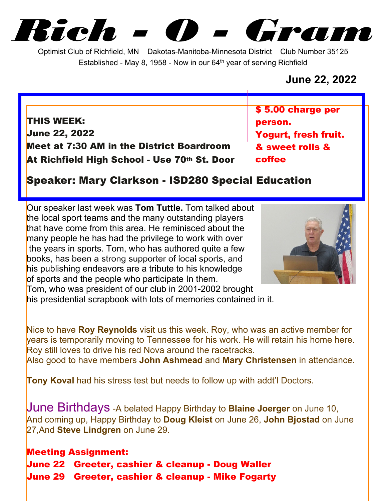*Rich - O - Gram*

Optimist Club of Richfield, MN Dakotas-Manitoba-Minnesota District Club Number 35125 Established - May 8, 1958 - Now in our  $64<sup>th</sup>$  year of serving Richfield

## **June 22, 2022**

**THIS WEEK: June 22, 2022 Meet at 7:30 AM in the District Boardroom At Richfield High School - Use 70th St. Door** **\$ 5.00 charge per person. Yogurt, fresh fruit. & sweet rolls & coffee**

## **Speaker: Mary Clarkson - ISD280 Special Education**

Our speaker last week was **Tom Tuttle.** Tom talked about the local sport teams and the many outstanding players that have come from this area. He reminisced about the many people he has had the privilege to work with over the years in sports. Tom, who has authored quite a few books, has been a strong supporter of local sports, and his publishing endeavors are a tribute to his knowledge of sports and the people who participate In them. Tom, who was president of our club in 2001-2002 brought



his presidential scrapbook with lots of memories contained in it.

Nice to have **Roy Reynolds** visit us this week. Roy, who was an active member for years is temporarily moving to Tennessee for his work. He will retain his home here. Roy still loves to drive his red Nova around the racetracks. Also good to have members **John Ashmead** and **Mary Christensen** in attendance.

**Tony Koval** had his stress test but needs to follow up with addt'l Doctors.

June Birthdays -A belated Happy Birthday to **Blaine Joerger** on June 10, And coming up, Happy Birthday to **Doug Kleist** on June 26, **John Bjostad** on June 27,And **Steve Lindgren** on June 29.

**Meeting Assignment: June 22 Greeter, cashier & cleanup - Doug Waller June 29 Greeter, cashier & cleanup - Mike Fogarty**